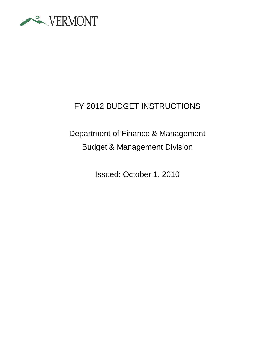

## FY 2012 BUDGET INSTRUCTIONS

# Department of Finance & Management Budget & Management Division

Issued: October 1, 2010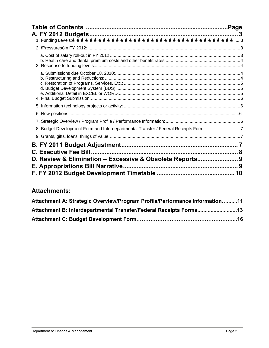| 8. Budget Development Form and Interdepartmental Transfer / Federal Receipts Form:7 |  |
|-------------------------------------------------------------------------------------|--|
|                                                                                     |  |
|                                                                                     |  |
|                                                                                     |  |
| D. Review & Elimination - Excessive & Obsolete Reports 9                            |  |
|                                                                                     |  |
|                                                                                     |  |

## **Attachments:**

| Attachment A: Strategic Overview/Program Profile/Performance Information11 |  |
|----------------------------------------------------------------------------|--|
|                                                                            |  |
|                                                                            |  |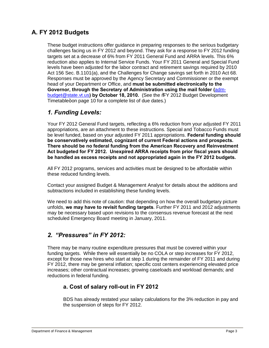## **A. FY 2012 Budgets**

These budget instructions offer guidance in preparing responses to the serious budgetary challenges facing us in FY 2012 and beyond. They ask for a response to FY 2012 funding targets set at a decrease of 6% from FY 2011 General Fund and ARRA levels. This 6% reduction also applies to Internal Service Funds. Your FY 2011 General and Special Fund levels have been adjusted for the labor contract and retirement savings required by 2010 Act 156 Sec. B.1101(a), and the Challenges for Change savings set forth in 2010 Act 68. Responses must be approved by the Agency Secretary and Commissioner or the exempt head of your Department or Office, and **must be submitted electronically to the Governor, through the Secretary of Administration using the mail folder (**[adm](mailto:mailtoadm-budget@state.vt.us)[budget@state.vt.us](mailto:mailtoadm-budget@state.vt.us)**) by October 18, 2010.** (See the "FY 2012 Budget Development Timetable+on page 10 for a complete list of due dates.)

#### *1. Funding Levels:*

Your FY 2012 General Fund targets, reflecting a 6% reduction from your adjusted FY 2011 appropriations, are an attachment to these instructions. Special and Tobacco Funds must be level funded, based on your adjusted FY 2011 appropriations. **Federal funding should be conservatively estimated, cognizant of current Federal actions and prospects. There should be no federal funding from the American Recovery and Reinvestment Act budgeted for FY 2012. Unexpired ARRA receipts from prior fiscal years should be handled as excess receipts and not appropriated again in the FY 2012 budgets.**

All FY 2012 programs, services and activities must be designed to be affordable within these reduced funding levels.

Contact your assigned Budget & Management Analyst for details about the additions and subtractions included in establishing these funding levels.

We need to add this note of caution: that depending on how the overall budgetary picture unfolds, **we may have to revisit funding targets**. Further FY 2011 and 2012 adjustments may be necessary based upon revisions to the consensus revenue forecast at the next scheduled Emergency Board meeting in January, 2011.

#### *2. "Pressures" in FY 2012:*

There may be many routine expenditure pressures that must be covered within your funding targets. While there will essentially be no COLA or step increases for FY 2012, except for those new hires who start at step 1 during the remainder of FY 2011 and during FY 2012, there may be general inflation; specific cost centers experiencing elevated price increases; other contractual increases; growing caseloads and workload demands; and reductions in federal funding.

#### **a. Cost of salary roll-out in FY 2012**

BDS has already restated your salary calculations for the 3% reduction in pay and the suspension of steps for FY 2012.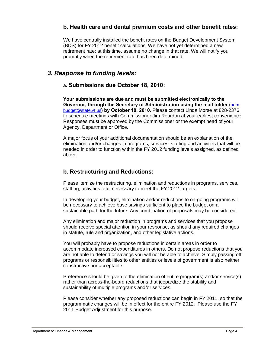#### **b. Health care and dental premium costs and other benefit rates:**

We have centrally installed the benefit rates on the Budget Development System (BDS) for FY 2012 benefit calculations. We have not yet determined a new retirement rate; at this time, assume no change in that rate. We will notify you promptly when the retirement rate has been determined.

#### *3. Response to funding levels:*

#### **a. Submissions due October 18, 2010:**

**Your submissions are due and must be submitted electronically to the Governor, through the Secretary of Administration using the mail folder (**[adm](mailto:mailtoadm-budget@state.vt.us)[budget@state.vt.us](mailto:mailtoadm-budget@state.vt.us)**) by October 18, 2010.** Please contact Linda Morse at 828-2376 to schedule meetings with Commissioner Jim Reardon at your earliest convenience. Responses must be approved by the Commissioner or the exempt head of your Agency, Department or Office.

A major focus of your additional documentation should be an explanation of the elimination and/or changes in programs, services, staffing and activities that will be needed in order to function within the FY 2012 funding levels assigned, as defined above.

#### **b. Restructuring and Reductions:**

Please itemize the restructuring, elimination and reductions in programs, services, staffing, activities, etc. necessary to meet the FY 2012 targets.

In developing your budget, elimination and/or reductions to on-going programs will be necessary to achieve base savings sufficient to place the budget on a sustainable path for the future. Any combination of proposals may be considered.

Any elimination and major reduction in programs and services that you propose should receive special attention in your response, as should any required changes in statute, rule and organization, and other legislative actions.

You will probably have to propose reductions in certain areas in order to accommodate increased expenditures in others. Do not propose reductions that you are not able to defend or savings you will not be able to achieve. Simply passing off programs or responsibilities to other entities or levels of government is also neither constructive nor acceptable.

Preference should be given to the elimination of entire program(s) and/or service(s) rather than across-the-board reductions that jeopardize the stability and sustainability of multiple programs and/or services.

Please consider whether any proposed reductions can begin in FY 2011, so that the programmatic changes will be in effect for the entire FY 2012. Please use the FY 2011 Budget Adjustment for this purpose.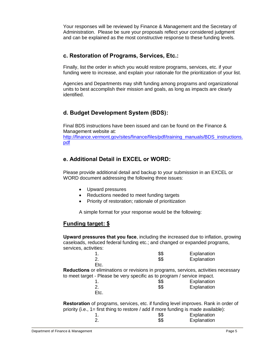Your responses will be reviewed by Finance & Management and the Secretary of Administration. Please be sure your proposals reflect your considered judgment and can be explained as the most constructive response to these funding levels.

#### **c. Restoration of Programs, Services, Etc.:**

Finally, list the order in which you would restore programs, services, etc. if your funding were to increase, and explain your rationale for the prioritization of your list.

Agencies and Departments may shift funding among programs and organizational units to best accomplish their mission and goals, as long as impacts are clearly identified.

#### **d. Budget Development System (BDS):**

Final BDS instructions have been issued and can be found on the Finance & Management website at: [http://finance.vermont.gov/sites/finance/files/pdf/training\\_manuals/BDS\\_instructions](http://finance.vermont.gov/sites/finance/files/pdf/training_manuals/BDS_instructions.pdf). [pdf](http://finance.vermont.gov/sites/finance/files/pdf/training_manuals/BDS_instructions.pdf)

#### **e. Additional Detail in EXCEL or WORD:**

Please provide additional detail and backup to your submission in an EXCEL or WORD document addressing the following three issues:

- · Upward pressures
- Reductions needed to meet funding targets
- Priority of restoration; rationale of prioritization

A simple format for your response would be the following:

#### **Funding target: \$**

**Upward pressures that you face**, including the increased due to inflation, growing caseloads, reduced federal funding etc.; and changed or expanded programs, services, activities:

|      | \$\$ | Explanation |
|------|------|-------------|
| 2.   | \$\$ | Explanation |
| Etc. |      |             |

**Reductions** or eliminations or revisions in programs, services, activities necessary to meet target - Please be very specific as to program / service impact.

|      | \$\$ | Explanation |
|------|------|-------------|
|      | \$\$ | Explanation |
| Etc. |      |             |

**Restoration** of programs, services, etc. if funding level improves. Rank in order of priority (i.e., 1= first thing to restore / add if more funding is made available):

|  | \$\$ | Explanation |
|--|------|-------------|
|  | \$\$ | Explanation |
|  |      |             |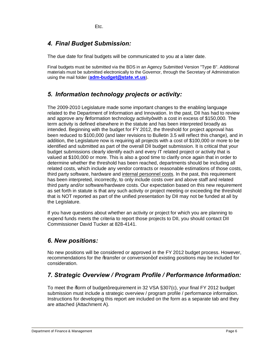Etc.

## *4. Final Budget Submission:*

The due date for final budgets will be communicated to you at a later date.

Final budgets must be submitted via the BDS in an Agency Submitted Version "Type B". Additional materials must be submitted electronically to the Governor, through the Secretary of Administration using the mail folder (**[adm-budget@state.vt.us](mailto:mailtoadm-budget@state.vt.us)**).

## *5. Information technology projects or activity:*

The 2009-2010 Legislature made some important changes to the enabling language related to the Department of Information and Innovation. In the past, DII has had to review and approve any  $%$  aformation technology activity+ with a cost in excess of \$150,000. The term activity is defined elsewhere in the statute and has been interpreted broadly as intended. Beginning with the budget for FY 2012, the threshold for project approval has been reduced to \$100,000 (and later revisions to Bulletin 3.5 will reflect this change), and in addition, the Legislature now is requiring all projects with a cost of \$100,000 or more to be identified and submitted as part of the overall DII budget submission. It is critical that your budget submissions clearly identify each and every IT related project or activity that is valued at \$100,000 or more. This is also a good time to clarify once again that in order to determine whether the threshold has been reached, departments should be including all related costs, which include any vendor contracts or reasonable estimations of those costs, third party software, hardware and internal personnel costs. In the past, this requirement has been interpreted, incorrectly, to only include costs over and above staff and related third party and/or software/hardware costs. Our expectation based on this new requirement as set forth in statute is that any such activity or project meeting or exceeding the threshold that is NOT reported as part of the unified presentation by DII may not be funded at all by the Legislature.

If you have questions about whether an activity or project for which you are planning to expend funds meets the criteria to report those projects to DII, you should contact DII Commissioner David Tucker at 828-4141.

## *6. New positions:*

No new positions will be considered or approved in the FY 2012 budget process. However, recommendations for the %transfer or conversion+of existing positions may be included for consideration.

## *7. Strategic Overview / Program Profile / Performance Information:*

To meet the %orm of budget+requirement in 32 VSA §307(c), your final FY 2012 budget submission must include a strategic overview / program profile / performance information. Instructions for developing this report are included on the form as a separate tab and they are attached (Attachment A).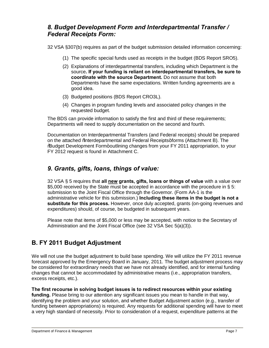#### *8. Budget Development Form and Interdepartmental Transfer / Federal Receipts Form:*

32 VSA §307(b) requires as part of the budget submission detailed information concerning:

- (1) The specific special funds used as receipts in the budget (BDS Report SRO5).
- (2) Explanations of interdepartmental transfers, including which Department is the source**. If your funding is reliant on interdepartmental transfers, be sure to coordinate with the source Department.** Do not assume that both Departments have the same expectations. Written funding agreements are a good idea.
- (3) Budgeted positions (BDS Report CRO3L).
- (4) Changes in program funding levels and associated policy changes in the requested budget.

The BDS can provide information to satisfy the first and third of these requirements; Departments will need to supply documentation on the second and fourth.

Documentation on Interdepartmental Transfers (and Federal receipts) should be prepared on the attached % aterdepartmental and Federal Receipts+forms (Attachment B). The %Budget Development Form+outlining changes from your FY 2011 appropriation, to your FY 2012 request is found in Attachment C.

#### *9. Grants, gifts, loans, things of value:*

32 VSA § 5 requires that **all new grants, gifts, loans or things of value** with a value over \$5,000 received by the State must be accepted in accordance with the procedure in § 5: submission to the Joint Fiscal Office through the Governor. (Form AA-1 is the administrative vehicle for this submission.) **Including these items in the budget is not a substitute for this process.** However, once duly accepted, grants (on-going revenues and expenditures) should, of course, be budgeted in subsequent years.

Please note that items of \$5,000 or less may be accepted, with notice to the Secretary of Administration and the Joint Fiscal Office (see 32 VSA Sec 5(a)(3)).

## **B. FY 2011 Budget Adjustment**

We will not use the budget adjustment to build base spending. We will utilize the FY 2011 revenue forecast approved by the Emergency Board in January, 2011. The budget adjustment process may be considered for extraordinary needs that we have not already identified, and for internal funding changes that cannot be accommodated by administrative means (i.e., appropriation transfers, excess receipts, etc.).

**The first recourse in solving budget issues is to redirect resources within your existing funding.** Please bring to our attention any significant issues you mean to handle in that way, identifying the problem and your solution, and whether Budget Adjustment action (e.g., transfer of funding between appropriations) is required. Any requests for additional spending will have to meet a very high standard of necessity. Prior to consideration of a request, expenditure patterns at the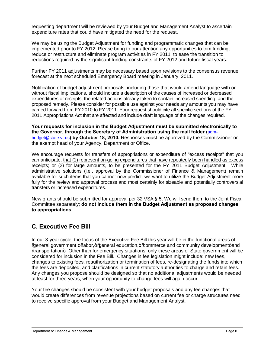requesting department will be reviewed by your Budget and Management Analyst to ascertain expenditure rates that could have mitigated the need for the request.

We may be using the Budget Adjustment for funding and programmatic changes that can be implemented prior to FY 2012. Please bring to our attention any opportunities to trim funding, reduce or restructure and eliminate program activities in FY 2011, to ease the transition to reductions required by the significant funding constraints of FY 2012 and future fiscal years.

Further FY 2011 adjustments may be necessary based upon revisions to the consensus revenue forecast at the next scheduled Emergency Board meeting in January, 2011.

Notification of budget adjustment proposals, including those that would amend language with or without fiscal implications, should include a description of the causes of increased or decreased expenditures or receipts, the related actions already taken to contain increased spending, and the proposed remedy. Please consider for possible use against your needs any amounts you may have carried forward from FY 2010 to FY 2011. Your request should cite all specific sections of the FY 2011 Appropriations Act that are affected and include draft language of the changes required.

**Your requests for inclusion in the Budget Adjustment must be submitted electronically to the Governor, through the Secretary of Administration using the mail folder (**[adm](mailto:mailtoadm-budget@state.vt.us)[budget@state.vt.us](mailto:mailtoadm-budget@state.vt.us)**) by October 18, 2010.** Responses **m**ust be approved by the Commissioner or the exempt head of your Agency, Department or Office.

We encourage requests for transfers of appropriations or expenditure of "excess receipts" that you can anticipate, that (1) represent on-going expenditures that have repeatedly been handled as excess receipts; or (2) for large amounts, to be presented for the FY 2011 Budget Adjustment. While administrative solutions (i.e., approval by the Commissioner of Finance & Management) remain available for such items that you cannot now predict, we want to utilize the Budget Adjustment more fully for the review and approval process and most certainly for sizeable and potentially controversial transfers or increased expenditures.

New grants should be submitted for approval per 32 VSA § 5. We will send them to the Joint Fiscal Committee separately; **do not include them in the Budget Adjustment as proposed changes to appropriations.**

## **C. Executive Fee Bill**

In our 3-year cycle, the focus of the Executive Fee Bill this year will be in the functional areas of "general government," "labor," "general education," "commerce and community development" and "transportation". Other than for emergency situations, only these areas of State government will be considered for inclusion in the Fee Bill. Changes in fee legislation might include: new fees, changes to existing fees, reauthorization or termination of fees, re-designating the funds into which the fees are deposited, and clarifications in current statutory authorities to charge and retain fees. Any changes you propose should be designed so that no additional adjustments would be needed at least for three years, when your opportunity to change fees will again occur.

Your fee changes should be consistent with your budget proposals and any fee changes that would create differences from revenue projections based on current fee or charge structures need to receive specific approval from your Budget and Management Analyst.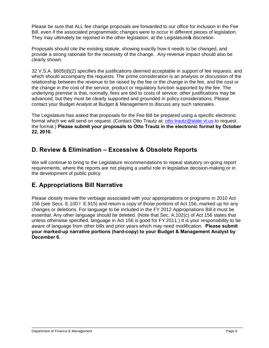Please be sure that ALL fee change proposals are forwarded to our office for inclusion in the Fee Bill, even if the associated programmatic changes were to occur in different pieces of legislation. They may ultimately be rejoined in the other legislation, at the Legislature tis discretion.

Proposals should cite the existing statute, showing exactly how it needs to be changed, and provide a strong rationale for the necessity of the change. Any revenue impact should also be clearly shown.

32 V.S.A. §605(d)(2) specifies the justifications deemed acceptable in support of fee requests, and which should accompany the requests. The prime consideration is an analysis or discussion of the relationship between the revenue to be raised by the fee or the change in the fee, and the cost or the change in the cost of the service, product or regulatory function supported by the fee. The underlying premise is that, normally, fees are tied to costs of service; other justifications may be advanced, but they must be clearly supported and grounded in policy considerations. Please contact your Budget Analyst at Budget & Management to discuss any such rationales.

The Legislature has asked that proposals for the Fee Bill be prepared using a specific electronic format which we will send on request. (Contact Otto Trautz at: [otto.trautz@state.vt.us](mailto:otto.trautz@state.vt.us) to request the format.) **Please submit your proposals to Otto Trautz in the electronic format by October 22, 2010.**

### **D. Review & Elimination – Excessive & Obsolete Reports**

We will continue to bring to the Legislature recommendations to repeal statutory on-going report requirements, where the reports are not playing a useful role in legislative decision-making or in the development of public policy.

## **E. Appropriations Bill Narrative**

Please closely review the verbiage associated with your appropriations or programs in 2010 Act 156 (see Secs. E.100 – E.915) and return a copy of those portions of Act 156, marked up for any changes or deletions. For language to be included in the FY 2012 Appropriations Bill it must be essential. Any other language should be deleted. (Note that Sec. A.102(c) of Act 156 states that unless otherwise specified, language in Act 156 is good for FY 2011.) It is your responsibility to be aware of language from other bills and prior years which may need modification. **Please submit your marked-up narrative portions (hard-copy) to your Budget & Management Analyst by December 6.**